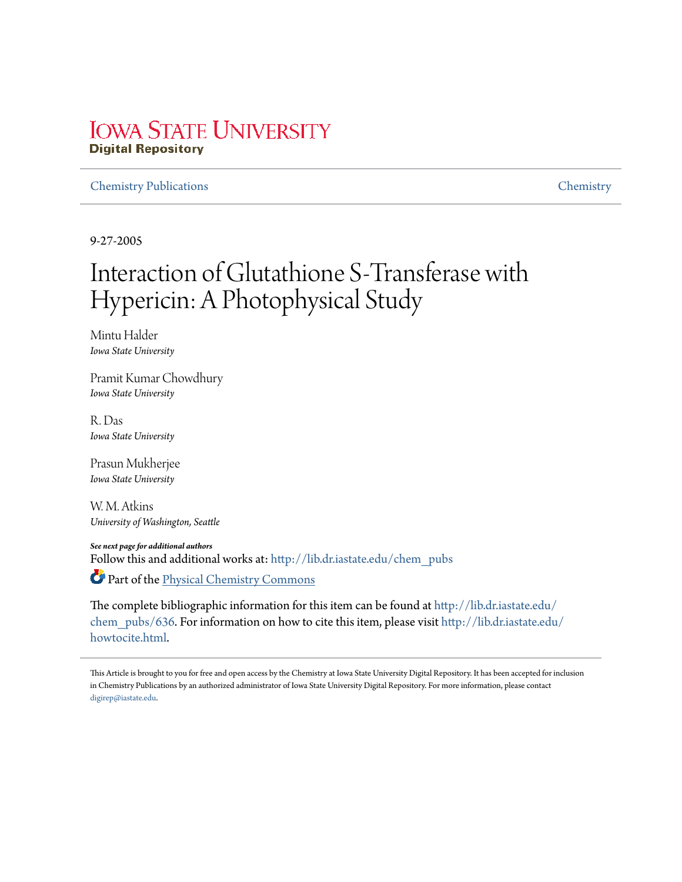# **IOWA STATE UNIVERSITY Digital Repository**

## Chemistry Publications Chemistry

9-27-2005

# Interaction of Glutathione S-Transferase with Hypericin: A Photophysical Study

Mintu Halder *Iowa State University*

Pramit Kumar Chowdhury *Iowa State University*

R. Das *Iowa State University*

Prasun Mukherjee *Iowa State University*

W. M. Atkins *University of Washington, Seattle*

*See next page for additional authors*

Follow this and additional works at: http://lib.dr.iastate.edu/chem\_pubs

Part of the Physical Chemistry Commons

The complete bibliographic information for this item can be found at http://lib.dr.iastate.edu/ chem\_pubs/636. For information on how to cite this item, please visit http://lib.dr.iastate.edu/ howtocite.html.

This Article is brought to you for free and open access by the Chemistry at Iowa State University Digital Repository. It has been accepted for inclusion in Chemistry Publications by an authorized administrator of Iowa State University Digital Repository. For more information, please contact digirep@iastate.edu.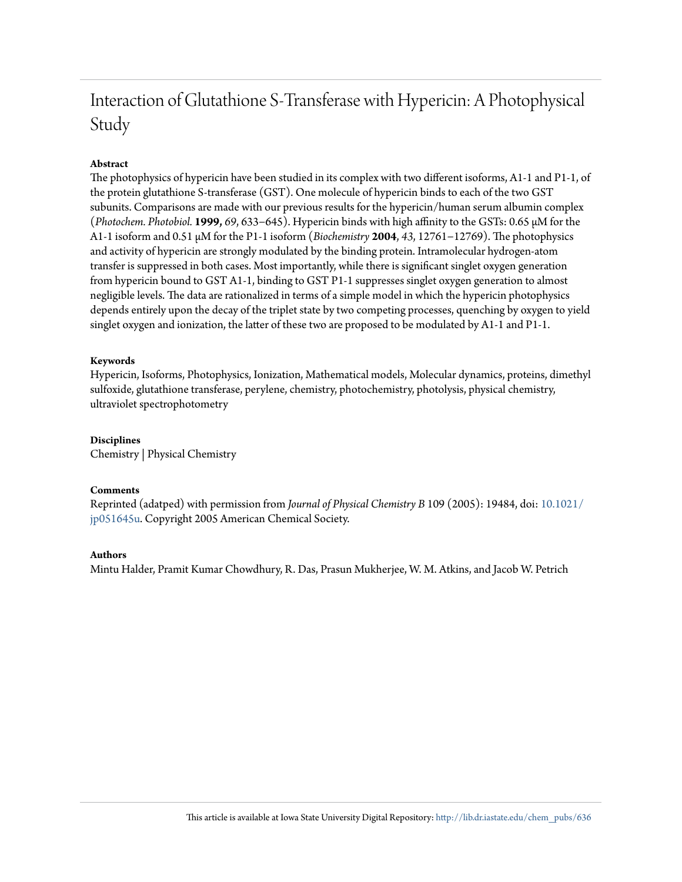# Interaction of Glutathione S-Transferase with Hypericin: A Photophysical Study

# **Abstract**

The photophysics of hypericin have been studied in its complex with two different isoforms, A1-1 and P1-1, of the protein glutathione S-transferase (GST). One molecule of hypericin binds to each of the two GST subunits. Comparisons are made with our previous results for the hypericin/human serum albumin complex (*Photochem. Photobiol.* **1999,** *69*, 633−645). Hypericin binds with high affinity to the GSTs: 0.65 μM for the A1-1 isoform and 0.51 μM for the P1-1 isoform (*Biochemistry* **2004**, *43*, 12761−12769). The photophysics and activity of hypericin are strongly modulated by the binding protein. Intramolecular hydrogen-atom transfer is suppressed in both cases. Most importantly, while there is significant singlet oxygen generation from hypericin bound to GST A1-1, binding to GST P1-1 suppresses singlet oxygen generation to almost negligible levels. The data are rationalized in terms of a simple model in which the hypericin photophysics depends entirely upon the decay of the triplet state by two competing processes, quenching by oxygen to yield singlet oxygen and ionization, the latter of these two are proposed to be modulated by A1-1 and P1-1.

## **Keywords**

Hypericin, Isoforms, Photophysics, Ionization, Mathematical models, Molecular dynamics, proteins, dimethyl sulfoxide, glutathione transferase, perylene, chemistry, photochemistry, photolysis, physical chemistry, ultraviolet spectrophotometry

### **Disciplines**

Chemistry | Physical Chemistry

#### **Comments**

Reprinted (adatped) with permission from *Journal of Physical Chemistry B* 109 (2005): 19484, doi: 10.1021/ jp051645u. Copyright 2005 American Chemical Society.

#### **Authors**

Mintu Halder, Pramit Kumar Chowdhury, R. Das, Prasun Mukherjee, W. M. Atkins, and Jacob W. Petrich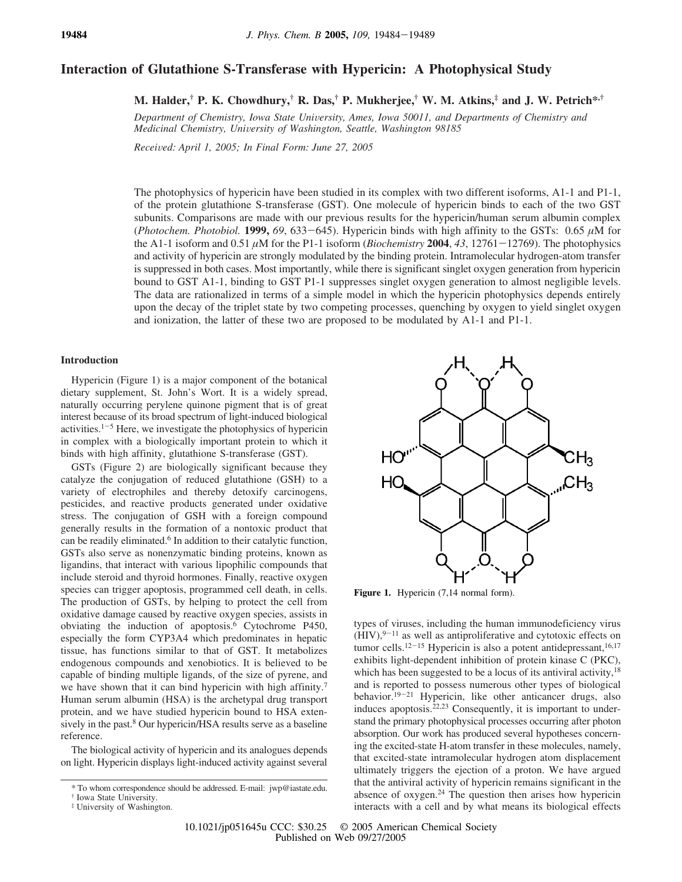# **Interaction of Glutathione S-Transferase with Hypericin: A Photophysical Study**

**M. Halder,† P. K. Chowdhury,† R. Das,† P. Mukherjee,† W. M. Atkins,‡ and J. W. Petrich\*,†**

*Department of Chemistry, Iowa State Uni*V*ersity, Ames, Iowa 50011, and Departments of Chemistry and Medicinal Chemistry, Uni*V*ersity of Washington, Seattle, Washington 98185*

*Recei*V*ed: April 1, 2005; In Final Form: June 27, 2005*

The photophysics of hypericin have been studied in its complex with two different isoforms, A1-1 and P1-1, of the protein glutathione S-transferase (GST). One molecule of hypericin binds to each of the two GST subunits. Comparisons are made with our previous results for the hypericin/human serum albumin complex (*Photochem. Photobiol.* **1999,** 69, 633–645). Hypericin binds with high affinity to the GSTs: 0.65  $\mu$ M for the A1-1 isoform and 0.51  $\mu$ M for the P1-1 isoform (*Biochemistry* 2004, 43, 12761-12769). The photophysics and activity of hypericin are strongly modulated by the binding protein. Intramolecular hydrogen-atom transfer is suppressed in both cases. Most importantly, while there is significant singlet oxygen generation from hypericin bound to GST A1-1, binding to GST P1-1 suppresses singlet oxygen generation to almost negligible levels. The data are rationalized in terms of a simple model in which the hypericin photophysics depends entirely upon the decay of the triplet state by two competing processes, quenching by oxygen to yield singlet oxygen and ionization, the latter of these two are proposed to be modulated by A1-1 and P1-1.

#### **Introduction**

Hypericin (Figure 1) is a major component of the botanical dietary supplement, St. John's Wort. It is a widely spread, naturally occurring perylene quinone pigment that is of great interest because of its broad spectrum of light-induced biological activities. $1-5$  Here, we investigate the photophysics of hypericin in complex with a biologically important protein to which it binds with high affinity, glutathione S-transferase (GST).

GSTs (Figure 2) are biologically significant because they catalyze the conjugation of reduced glutathione (GSH) to a variety of electrophiles and thereby detoxify carcinogens, pesticides, and reactive products generated under oxidative stress. The conjugation of GSH with a foreign compound generally results in the formation of a nontoxic product that can be readily eliminated.<sup>6</sup> In addition to their catalytic function, GSTs also serve as nonenzymatic binding proteins, known as ligandins, that interact with various lipophilic compounds that include steroid and thyroid hormones. Finally, reactive oxygen species can trigger apoptosis, programmed cell death, in cells. The production of GSTs, by helping to protect the cell from oxidative damage caused by reactive oxygen species, assists in obviating the induction of apoptosis.<sup>6</sup> Cytochrome P450, especially the form CYP3A4 which predominates in hepatic tissue, has functions similar to that of GST. It metabolizes endogenous compounds and xenobiotics. It is believed to be capable of binding multiple ligands, of the size of pyrene, and we have shown that it can bind hypericin with high affinity.<sup>7</sup> Human serum albumin (HSA) is the archetypal drug transport protein, and we have studied hypericin bound to HSA extensively in the past.<sup>8</sup> Our hypericin/HSA results serve as a baseline reference.

The biological activity of hypericin and its analogues depends on light. Hypericin displays light-induced activity against several



Figure 1. Hypericin (7,14 normal form).

types of viruses, including the human immunodeficiency virus  $(HIV)$ , <sup>9-11</sup> as well as antiproliferative and cytotoxic effects on tumor cells.<sup>12-15</sup> Hypericin is also a potent antidepressant,<sup>16,17</sup> exhibits light-dependent inhibition of protein kinase C (PKC), which has been suggested to be a locus of its antiviral activity,<sup>18</sup> and is reported to possess numerous other types of biological behavior.<sup>19-21</sup> Hypericin, like other anticancer drugs, also induces apoptosis. $22,23$  Consequently, it is important to understand the primary photophysical processes occurring after photon absorption. Our work has produced several hypotheses concerning the excited-state H-atom transfer in these molecules, namely, that excited-state intramolecular hydrogen atom displacement ultimately triggers the ejection of a proton. We have argued that the antiviral activity of hypericin remains significant in the absence of oxygen.<sup>24</sup> The question then arises how hypericin interacts with a cell and by what means its biological effects

<sup>\*</sup> To whom correspondence should be addressed. E-mail: jwp@iastate.edu.

<sup>†</sup> Iowa State University.

<sup>‡</sup> University of Washington.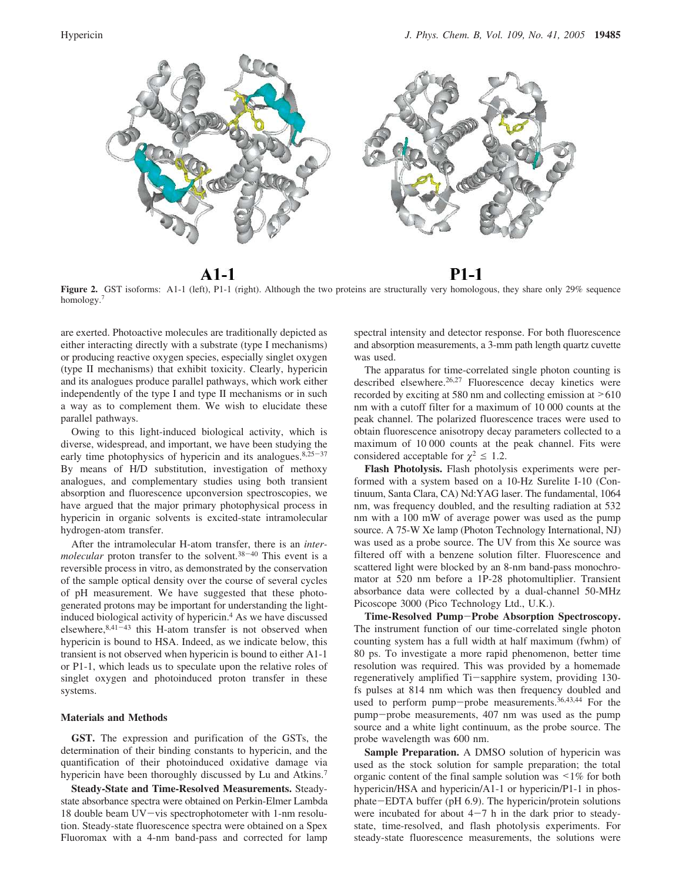

 $A1-1$ 

**P1-1** 

Figure 2. GST isoforms: A1-1 (left), P1-1 (right). Although the two proteins are structurally very homologous, they share only 29% sequence homology.<sup>7</sup>

are exerted. Photoactive molecules are traditionally depicted as either interacting directly with a substrate (type I mechanisms) or producing reactive oxygen species, especially singlet oxygen (type II mechanisms) that exhibit toxicity. Clearly, hypericin and its analogues produce parallel pathways, which work either independently of the type I and type II mechanisms or in such a way as to complement them. We wish to elucidate these parallel pathways.

Owing to this light-induced biological activity, which is diverse, widespread, and important, we have been studying the early time photophysics of hypericin and its analogues. $8,25-37$ By means of H/D substitution, investigation of methoxy analogues, and complementary studies using both transient absorption and fluorescence upconversion spectroscopies, we have argued that the major primary photophysical process in hypericin in organic solvents is excited-state intramolecular hydrogen-atom transfer.

After the intramolecular H-atom transfer, there is an *intermolecular* proton transfer to the solvent.<sup>38</sup>-<sup>40</sup> This event is a reversible process in vitro, as demonstrated by the conservation of the sample optical density over the course of several cycles of pH measurement. We have suggested that these photogenerated protons may be important for understanding the lightinduced biological activity of hypericin.<sup>4</sup> As we have discussed elsewhere, $8,41-43$  this H-atom transfer is not observed when hypericin is bound to HSA. Indeed, as we indicate below, this transient is not observed when hypericin is bound to either A1-1 or P1-1, which leads us to speculate upon the relative roles of singlet oxygen and photoinduced proton transfer in these systems.

#### **Materials and Methods**

**GST.** The expression and purification of the GSTs, the determination of their binding constants to hypericin, and the quantification of their photoinduced oxidative damage via hypericin have been thoroughly discussed by Lu and Atkins.<sup>7</sup>

**Steady-State and Time-Resolved Measurements.** Steadystate absorbance spectra were obtained on Perkin-Elmer Lambda 18 double beam UV-vis spectrophotometer with 1-nm resolution. Steady-state fluorescence spectra were obtained on a Spex Fluoromax with a 4-nm band-pass and corrected for lamp spectral intensity and detector response. For both fluorescence and absorption measurements, a 3-mm path length quartz cuvette was used.

The apparatus for time-correlated single photon counting is described elsewhere.<sup>26,27</sup> Fluorescence decay kinetics were recorded by exciting at 580 nm and collecting emission at >610 nm with a cutoff filter for a maximum of 10 000 counts at the peak channel. The polarized fluorescence traces were used to obtain fluorescence anisotropy decay parameters collected to a maximum of 10 000 counts at the peak channel. Fits were considered acceptable for  $\chi^2 \leq 1.2$ .

**Flash Photolysis.** Flash photolysis experiments were performed with a system based on a 10-Hz Surelite I-10 (Continuum, Santa Clara, CA) Nd:YAG laser. The fundamental, 1064 nm, was frequency doubled, and the resulting radiation at 532 nm with a 100 mW of average power was used as the pump source. A 75-W Xe lamp (Photon Technology International, NJ) was used as a probe source. The UV from this Xe source was filtered off with a benzene solution filter. Fluorescence and scattered light were blocked by an 8-nm band-pass monochromator at 520 nm before a 1P-28 photomultiplier. Transient absorbance data were collected by a dual-channel 50-MHz Picoscope 3000 (Pico Technology Ltd., U.K.).

**Time-Resolved Pump**-**Probe Absorption Spectroscopy.** The instrument function of our time-correlated single photon counting system has a full width at half maximum (fwhm) of 80 ps. To investigate a more rapid phenomenon, better time resolution was required. This was provided by a homemade regeneratively amplified Ti-sapphire system, providing 130 fs pulses at 814 nm which was then frequency doubled and used to perform pump-probe measurements.<sup>36,43,44</sup> For the pump-probe measurements, 407 nm was used as the pump source and a white light continuum, as the probe source. The probe wavelength was 600 nm.

**Sample Preparation.** A DMSO solution of hypericin was used as the stock solution for sample preparation; the total organic content of the final sample solution was <1% for both hypericin/HSA and hypericin/A1-1 or hypericin/P1-1 in phosphate-EDTA buffer (pH 6.9). The hypericin/protein solutions were incubated for about  $4-7$  h in the dark prior to steadystate, time-resolved, and flash photolysis experiments. For steady-state fluorescence measurements, the solutions were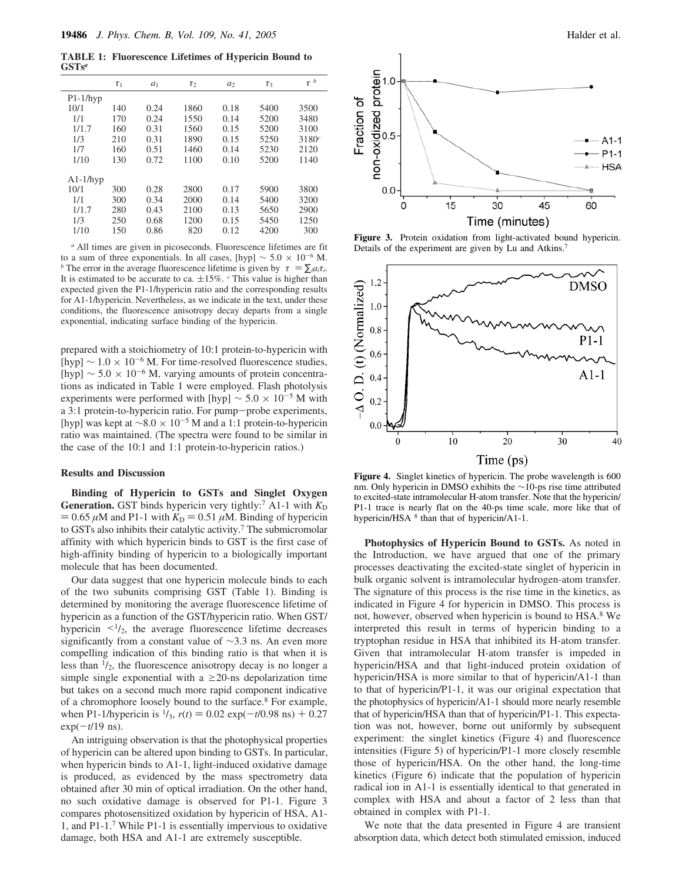**TABLE 1: Fluorescence Lifetimes of Hypericin Bound to GSTs***<sup>a</sup>*

|            | $\tau_1$ | a <sub>1</sub> | $\tau_2$ | a <sub>2</sub> | $\tau_3$ | $\langle \tau \rangle^{\!b}$ |
|------------|----------|----------------|----------|----------------|----------|------------------------------|
| $P1-1/hyp$ |          |                |          |                |          |                              |
| 10/1       | 140      | 0.24           | 1860     | 0.18           | 5400     | 3500                         |
| 1/1        | 170      | 0.24           | 1550     | 0.14           | 5200     | 3480                         |
| 1/1.7      | 160      | 0.31           | 1560     | 0.15           | 5200     | 3100                         |
| 1/3        | 210      | 0.31           | 1890     | 0.15           | 5250     | 3180c                        |
| 1/7        | 160      | 0.51           | 1460     | 0.14           | 5230     | 2120                         |
| 1/10       | 130      | 0.72           | 1100     | 0.10           | 5200     | 1140                         |
| $A1-1/hyp$ |          |                |          |                |          |                              |
| 10/1       | 300      | 0.28           | 2800     | 0.17           | 5900     | 3800                         |
| 1/1        | 300      | 0.34           | 2000     | 0.14           | 5400     | 3200                         |
| 1/1.7      | 280      | 0.43           | 2100     | 0.13           | 5650     | 2900                         |
| 1/3        | 250      | 0.68           | 1200     | 0.15           | 5450     | 1250                         |
| 1/10       | 150      | 0.86           | 820      | 0.12           | 4200     | 300                          |

*<sup>a</sup>* All times are given in picoseconds. Fluorescence lifetimes are fit to a sum of three exponentials. In all cases, [hyp]  $\sim 5.0 \times 10^{-6}$  M. *b* The error in the average fluorescence lifetime is given by  $\langle \tau \rangle = \sum_i a_i \tau_i$ . It is estimated to be accurate to ca.  $\pm 15\%$ . <sup>*c*</sup> This value is higher than expected given the P1-1/hypericin ratio and the corresponding results for A1-1/hypericin. Nevertheless, as we indicate in the text, under these conditions, the fluorescence anisotropy decay departs from a single exponential, indicating surface binding of the hypericin.

prepared with a stoichiometry of 10:1 protein-to-hypericin with [hyp]  $\sim 1.0 \times 10^{-6}$  M. For time-resolved fluorescence studies, [hyp]  $\sim 5.0 \times 10^{-6}$  M, varying amounts of protein concentrations as indicated in Table 1 were employed. Flash photolysis experiments were performed with [hyp]  $\sim 5.0 \times 10^{-5}$  M with a 3:1 protein-to-hypericin ratio. For pump-probe experiments, [hyp] was kept at  $\sim$ 8.0 × 10<sup>-5</sup> M and a 1:1 protein-to-hypericin ratio was maintained. (The spectra were found to be similar in the case of the 10:1 and 1:1 protein-to-hypericin ratios.)

#### **Results and Discussion**

**Binding of Hypericin to GSTs and Singlet Oxygen Generation.** GST binds hypericin very tightly:<sup>7</sup> A1-1 with  $K_D$  $= 0.65 \mu M$  and P1-1 with  $K<sub>D</sub> = 0.51 \mu M$ . Binding of hypericin to GSTs also inhibits their catalytic activity.<sup>7</sup> The submicromolar affinity with which hypericin binds to GST is the first case of high-affinity binding of hypericin to a biologically important molecule that has been documented.

Our data suggest that one hypericin molecule binds to each of the two subunits comprising GST (Table 1). Binding is determined by monitoring the average fluorescence lifetime of hypericin as a function of the GST/hypericin ratio. When GST/ hypericin  $\langle 1/2 \rangle$ , the average fluorescence lifetime decreases significantly from a constant value of ∼3.3 ns. An even more compelling indication of this binding ratio is that when it is less than  $\frac{1}{2}$ , the fluorescence anisotropy decay is no longer a simple single exponential with a  $\geq$ 20-ns depolarization time but takes on a second much more rapid component indicative of a chromophore loosely bound to the surface.<sup>8</sup> For example, when P1-1/hypericin is  $\frac{1}{3}$ ,  $r(t) = 0.02 \exp(-t/0.98 \text{ ns}) + 0.27$ exp(-*t*/19 ns).

An intriguing observation is that the photophysical properties of hypericin can be altered upon binding to GSTs. In particular, when hypericin binds to A1-1, light-induced oxidative damage is produced, as evidenced by the mass spectrometry data obtained after 30 min of optical irradiation. On the other hand, no such oxidative damage is observed for P1-1. Figure 3 compares photosensitized oxidation by hypericin of HSA, A1- 1, and P1-1.<sup>7</sup> While P1-1 is essentially impervious to oxidative damage, both HSA and A1-1 are extremely susceptible.



**Figure 3.** Protein oxidation from light-activated bound hypericin. Details of the experiment are given by Lu and Atkins.<sup>7</sup>



**Figure 4.** Singlet kinetics of hypericin. The probe wavelength is 600 nm. Only hypericin in DMSO exhibits the ∼10-ps rise time attributed to excited-state intramolecular H-atom transfer. Note that the hypericin/ P1-1 trace is nearly flat on the 40-ps time scale, more like that of hypericin/HSA <sup>8</sup> than that of hypericin/A1-1.

**Photophysics of Hypericin Bound to GSTs.** As noted in the Introduction, we have argued that one of the primary processes deactivating the excited-state singlet of hypericin in bulk organic solvent is intramolecular hydrogen-atom transfer. The signature of this process is the rise time in the kinetics, as indicated in Figure 4 for hypericin in DMSO. This process is not, however, observed when hypericin is bound to HSA.<sup>8</sup> We interpreted this result in terms of hypericin binding to a tryptophan residue in HSA that inhibited its H-atom transfer. Given that intramolecular H-atom transfer is impeded in hypericin/HSA and that light-induced protein oxidation of hypericin/HSA is more similar to that of hypericin/A1-1 than to that of hypericin/P1-1, it was our original expectation that the photophysics of hypericin/A1-1 should more nearly resemble that of hypericin/HSA than that of hypericin/P1-1. This expectation was not, however, borne out uniformly by subsequent experiment: the singlet kinetics (Figure 4) and fluorescence intensities (Figure 5) of hypericin/P1-1 more closely resemble those of hypericin/HSA. On the other hand, the long-time kinetics (Figure 6) indicate that the population of hypericin radical ion in A1-1 is essentially identical to that generated in complex with HSA and about a factor of 2 less than that obtained in complex with P1-1.

We note that the data presented in Figure 4 are transient absorption data, which detect both stimulated emission, induced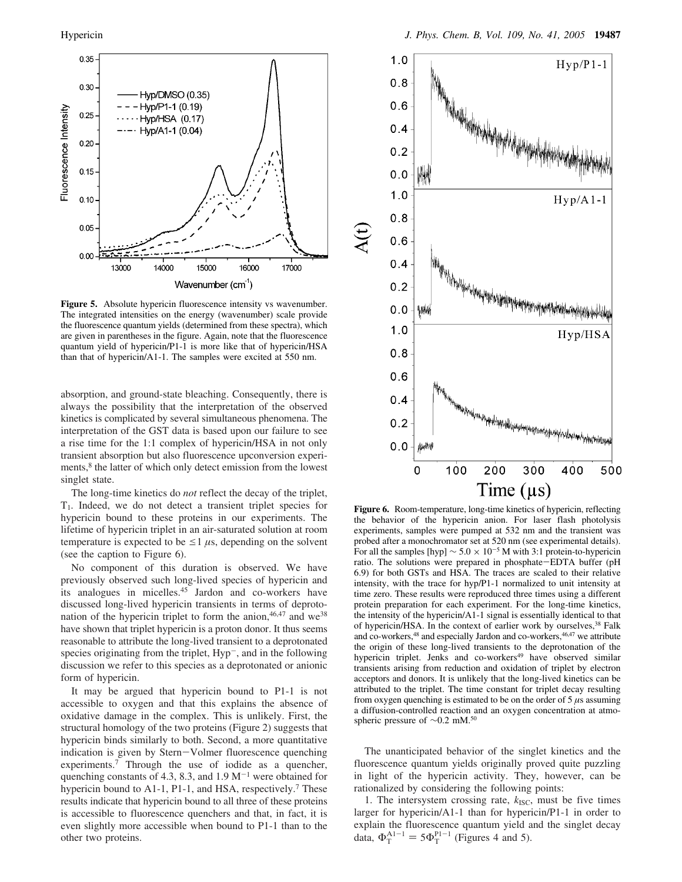

**Figure 5.** Absolute hypericin fluorescence intensity vs wavenumber. The integrated intensities on the energy (wavenumber) scale provide the fluorescence quantum yields (determined from these spectra), which are given in parentheses in the figure. Again, note that the fluorescence quantum yield of hypericin/P1-1 is more like that of hypericin/HSA than that of hypericin/A1-1. The samples were excited at 550 nm.

absorption, and ground-state bleaching. Consequently, there is always the possibility that the interpretation of the observed kinetics is complicated by several simultaneous phenomena. The interpretation of the GST data is based upon our failure to see a rise time for the 1:1 complex of hypericin/HSA in not only transient absorption but also fluorescence upconversion experiments,<sup>8</sup> the latter of which only detect emission from the lowest singlet state.

The long-time kinetics do *not* reflect the decay of the triplet, T1. Indeed, we do not detect a transient triplet species for hypericin bound to these proteins in our experiments. The lifetime of hypericin triplet in an air-saturated solution at room temperature is expected to be  $\leq 1 \mu s$ , depending on the solvent (see the caption to Figure 6).

No component of this duration is observed. We have previously observed such long-lived species of hypericin and its analogues in micelles.<sup>45</sup> Jardon and co-workers have discussed long-lived hypericin transients in terms of deprotonation of the hypericin triplet to form the anion, 46,47 and we<sup>38</sup> have shown that triplet hypericin is a proton donor. It thus seems reasonable to attribute the long-lived transient to a deprotonated species originating from the triplet, Hyp<sup>-</sup>, and in the following discussion we refer to this species as a deprotonated or anionic form of hypericin.

It may be argued that hypericin bound to P1-1 is not accessible to oxygen and that this explains the absence of oxidative damage in the complex. This is unlikely. First, the structural homology of the two proteins (Figure 2) suggests that hypericin binds similarly to both. Second, a more quantitative indication is given by Stern-Volmer fluorescence quenching experiments.<sup>7</sup> Through the use of iodide as a quencher, quenching constants of 4.3, 8.3, and  $1.9 \text{ M}^{-1}$  were obtained for hypericin bound to A1-1, P1-1, and HSA, respectively.<sup>7</sup> These results indicate that hypericin bound to all three of these proteins is accessible to fluorescence quenchers and that, in fact, it is even slightly more accessible when bound to P1-1 than to the other two proteins.



**Figure 6.** Room-temperature, long-time kinetics of hypericin, reflecting the behavior of the hypericin anion. For laser flash photolysis experiments, samples were pumped at 532 nm and the transient was probed after a monochromator set at 520 nm (see experimental details). For all the samples [hyp]  $\sim$  5.0 × 10<sup>-5</sup> M with 3:1 protein-to-hypericin ratio. The solutions were prepared in phosphate-EDTA buffer (pH 6.9) for both GSTs and HSA. The traces are scaled to their relative intensity, with the trace for hyp/P1-1 normalized to unit intensity at time zero. These results were reproduced three times using a different protein preparation for each experiment. For the long-time kinetics, the intensity of the hypericin/A1-1 signal is essentially identical to that of hypericin/HSA. In the context of earlier work by ourselves,<sup>38</sup> Falk and co-workers,<sup>48</sup> and especially Jardon and co-workers,<sup>46,47</sup> we attribute the origin of these long-lived transients to the deprotonation of the hypericin triplet. Jenks and co-workers<sup>49</sup> have observed similar transients arising from reduction and oxidation of triplet by electron acceptors and donors. It is unlikely that the long-lived kinetics can be attributed to the triplet. The time constant for triplet decay resulting from oxygen quenching is estimated to be on the order of  $5 \mu s$  assuming a diffusion-controlled reaction and an oxygen concentration at atmospheric pressure of ∼0.2 mM.<sup>50</sup>

The unanticipated behavior of the singlet kinetics and the fluorescence quantum yields originally proved quite puzzling in light of the hypericin activity. They, however, can be rationalized by considering the following points:

1. The intersystem crossing rate,  $k_{\text{ISC}}$ , must be five times larger for hypericin/A1-1 than for hypericin/P1-1 in order to explain the fluorescence quantum yield and the singlet decay data,  $\Phi_T^{A1-1} = 5\Phi_T^{P1-1}$  (Figures 4 and 5).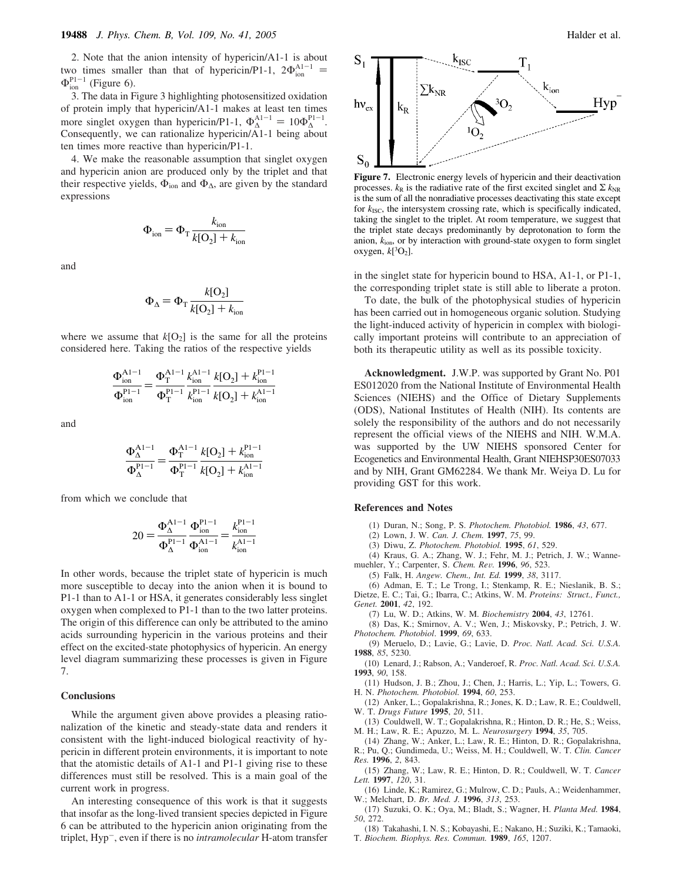2. Note that the anion intensity of hypericin/A1-1 is about two times smaller than that of hypericin/P1-1,  $2\Phi_{\text{ion}}^{\text{Al-1}}$  =  $\Phi_{\text{ion}}^{\text{Pl}-1}$  (Figure 6).

3. The data in Figure 3 highlighting photosensitized oxidation of protein imply that hypericin/A1-1 makes at least ten times more singlet oxygen than hypericin/P1-1,  $\Phi_{\Lambda}^{\text{Al}-1} = 10\Phi_{\Lambda}^{\text{Pl}-1}$ . Consequently, we can rationalize hypericin/ $\overline{A}$ 1-1 being about ten times more reactive than hypericin/P1-1.

4. We make the reasonable assumption that singlet oxygen and hypericin anion are produced only by the triplet and that their respective yields,  $\Phi_{\text{ion}}$  and  $\Phi_{\Delta}$ , are given by the standard expressions

$$
\Phi_{\text{ion}} = \Phi_{\text{T}} \frac{k_{\text{ion}}}{k[\mathcal{O}_2] + k_{\text{ion}}}
$$

and

$$
\Phi_{\Delta} = \Phi_{\text{T}} \frac{k[\text{O}_2]}{k[\text{O}_2] + k_{\text{ion}}}
$$

where we assume that  $k[O_2]$  is the same for all the proteins considered here. Taking the ratios of the respective yields

$$
\frac{\Phi_{\text{ion}}^{\text{Al}-1}}{\Phi_{\text{ion}}^{\text{Pl}-1}} = \frac{\Phi_{\text{T}}^{\text{Al}-1}}{\Phi_{\text{T}}^{\text{Pl}-1}} \frac{k_{\text{ion}}^{\text{Al}-1}}{k_{\text{ion}}^{\text{Pl}-1}} \frac{k[\text{O}_2] + k_{\text{ion}}^{\text{Pl}-1}}{k[\text{O}_2] + k_{\text{ion}}^{\text{Al}-1}}
$$

and

$$
\frac{\Phi_{\Delta}^{\text{Al}-1}}{\Phi_{\Delta}^{\text{Pl}-1}} = \frac{\Phi_{\text{T}}^{\text{Al}-1}}{\Phi_{\text{T}}^{\text{Pl}-1}} \frac{k[\text{O}_2] + k_{\text{ion}}^{\text{Pl}-1}}{k[\text{O}_2] + k_{\text{ion}}^{\text{Al}-1}}
$$

from which we conclude that

$$
20 = \frac{\Phi_{\Delta}^{\text{Al}-1}}{\Phi_{\Delta}^{\text{Pl}-1}} \frac{\Phi_{\text{ion}}^{\text{Pl}-1}}{\Phi_{\text{ion}}^{\text{Al}-1}} = \frac{k_{\text{ion}}^{\text{Pl}-1}}{k_{\text{ion}}^{\text{Al}-1}}
$$

In other words, because the triplet state of hypericin is much more susceptible to decay into the anion when it is bound to P1-1 than to A1-1 or HSA, it generates considerably less singlet oxygen when complexed to P1-1 than to the two latter proteins. The origin of this difference can only be attributed to the amino acids surrounding hypericin in the various proteins and their effect on the excited-state photophysics of hypericin. An energy level diagram summarizing these processes is given in Figure 7.

#### **Conclusions**

While the argument given above provides a pleasing rationalization of the kinetic and steady-state data and renders it consistent with the light-induced biological reactivity of hypericin in different protein environments, it is important to note that the atomistic details of A1-1 and P1-1 giving rise to these differences must still be resolved. This is a main goal of the current work in progress.

An interesting consequence of this work is that it suggests that insofar as the long-lived transient species depicted in Figure 6 can be attributed to the hypericin anion originating from the triplet, Hyp-, even if there is no *intramolecular* H-atom transfer



**Figure 7.** Electronic energy levels of hypericin and their deactivation processes.  $k_R$  is the radiative rate of the first excited singlet and  $\sum k_{NR}$ is the sum of all the nonradiative processes deactivating this state except for  $k_{\text{ISC}}$ , the intersystem crossing rate, which is specifically indicated, taking the singlet to the triplet. At room temperature, we suggest that the triplet state decays predominantly by deprotonation to form the anion, *k*ion, or by interaction with ground-state oxygen to form singlet oxygen,  $k[^3O_2]$ .

in the singlet state for hypericin bound to HSA, A1-1, or P1-1, the corresponding triplet state is still able to liberate a proton.

To date, the bulk of the photophysical studies of hypericin has been carried out in homogeneous organic solution. Studying the light-induced activity of hypericin in complex with biologically important proteins will contribute to an appreciation of both its therapeutic utility as well as its possible toxicity.

**Acknowledgment.** J.W.P. was supported by Grant No. P01 ES012020 from the National Institute of Environmental Health Sciences (NIEHS) and the Office of Dietary Supplements (ODS), National Institutes of Health (NIH). Its contents are solely the responsibility of the authors and do not necessarily represent the official views of the NIEHS and NIH. W.M.A. was supported by the UW NIEHS sponsored Center for Ecogenetics and Environmental Health, Grant NIEHSP30ES07033 and by NIH, Grant GM62284. We thank Mr. Weiya D. Lu for providing GST for this work.

#### **References and Notes**

(1) Duran, N.; Song, P. S. *Photochem. Photobiol.* **1986**, *43*, 677.

(2) Lown, J. W. *Can. J. Chem.* **1997**, *75*, 99.

(3) Diwu, Z. *Photochem. Photobiol.* **1995**, *61*, 529.

(4) Kraus, G. A.; Zhang, W. J.; Fehr, M. J.; Petrich, J. W.; Wannemuehler, Y.; Carpenter, S. *Chem. Re*V*.* **1996**, *96*, 523.

(5) Falk, H. *Angew. Chem., Int. Ed.* **1999**, *38*, 3117.

- (6) Adman, E. T.; Le Trong, I.; Stenkamp, R. E.; Nieslanik, B. S.; Dietze, E. C.; Tai, G.; Ibarra, C.; Atkins, W. M. *Proteins: Struct., Funct., Genet.* **2001**, *42*, 192.
	- (7) Lu, W. D.; Atkins, W. M. *Biochemistry* **2004**, *43*, 12761.

(8) Das, K.; Smirnov, A. V.; Wen, J.; Miskovsky, P.; Petrich, J. W. *Photochem. Photobiol*. **1999**, *69*, 633.

(9) Meruelo, D.; Lavie, G.; Lavie, D. *Proc. Natl. Acad. Sci. U.S.A.* **1988**, *85*, 5230.

- (10) Lenard, J.; Rabson, A.; Vanderoef, R. *Proc. Natl. Acad. Sci. U.S.A.* **1993**, *90*, 158.
- (11) Hudson, J. B.; Zhou, J.; Chen, J.; Harris, L.; Yip, L.; Towers, G. H. N. *Photochem. Photobiol.* **1994**, *60*, 253.

(12) Anker, L.; Gopalakrishna, R.; Jones, K. D.; Law, R. E.; Couldwell, W. T. *Drugs Future* **1995**, *20*, 511.

(13) Couldwell, W. T.; Gopalakrishna, R.; Hinton, D. R.; He, S.; Weiss, M. H.; Law, R. E.; Apuzzo, M. L. *Neurosurgery* **1994**, *35*, 705.

(14) Zhang, W.; Anker, L.; Law, R. E.; Hinton, D. R.; Gopalakrishna, R.; Pu, Q.; Gundimeda, U.; Weiss, M. H.; Couldwell, W. T. *Clin. Cancer Res.* **1996**, *2*, 843.

(15) Zhang, W.; Law, R. E.; Hinton, D. R.; Couldwell, W. T. *Cancer Lett.* **1997**, *120*, 31.

(16) Linde, K.; Ramirez, G.; Mulrow, C. D.; Pauls, A.; Weidenhammer, W.; Melchart, D. *Br. Med. J.* **1996**, *313*, 253.

(17) Suzuki, O. K.; Oya, M.; Bladt, S.; Wagner, H. *Planta Med.* **1984**, *50*, 272.

(18) Takahashi, I. N. S.; Kobayashi, E.; Nakano, H.; Suziki, K.; Tamaoki, T. *Biochem. Biophys. Res. Commun.* **1989**, *165*, 1207.